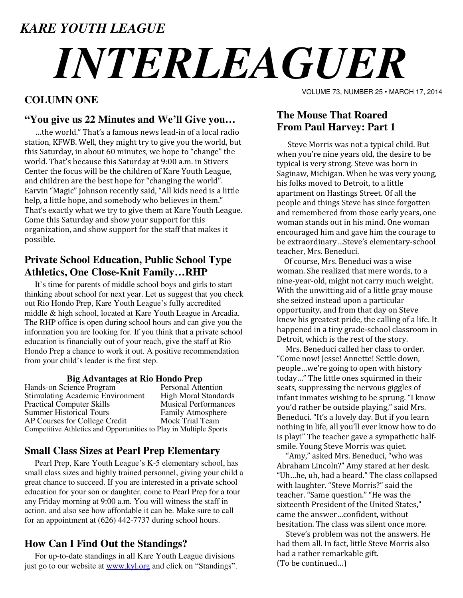# *KARE YOUTH LEAGUE INTERLEAGUER*

## **COLUMN ONE**

#### **"You give us 22 Minutes and We'll Give you…**

…the world." That's a famous news lead-in of a local radio station, KFWB. Well, they might try to give you the world, but this Saturday, in about 60 minutes, we hope to "change" the world. That's because this Saturday at 9:00 a.m. in Stivers Center the focus will be the children of Kare Youth League, and children are the best hope for "changing the world". Earvin "Magic" Johnson recently said, "All kids need is a little help, a little hope, and somebody who believes in them." That's exactly what we try to give them at Kare Youth League. Come this Saturday and show your support for this organization, and show support for the staff that makes it possible.

## **Private School Education, Public School Type Athletics, One Close-Knit Family…RHP**

 It's time for parents of middle school boys and girls to start thinking about school for next year. Let us suggest that you check out Rio Hondo Prep, Kare Youth League's fully accredited middle & high school, located at Kare Youth League in Arcadia. The RHP office is open during school hours and can give you the information you are looking for. If you think that a private school education is financially out of your reach, give the staff at Rio Hondo Prep a chance to work it out. A positive recommendation from your child's leader is the first step.

# **Big Advantages at Rio Hondo Prep**

Hands-on Science Program<br>
Stimulating Academic Environment High Moral Standards Stimulating Academic Environment<br>
Practical Computer Skills<br>
Musical Performances Practical Computer Skills Summer Historical Tours Family Atmosphere AP Courses for College Credit Competitive Athletics and Opportunities to Play in Multiple Sports

#### **Small Class Sizes at Pearl Prep Elementary**

 Pearl Prep, Kare Youth League's K-5 elementary school, has small class sizes and highly trained personnel, giving your child a great chance to succeed. If you are interested in a private school education for your son or daughter, come to Pearl Prep for a tour any Friday morning at 9:00 a.m. You will witness the staff in action, and also see how affordable it can be. Make sure to call for an appointment at (626) 442-7737 during school hours.

#### **How Can I Find Out the Standings?**

 For up-to-date standings in all Kare Youth League divisions just go to our website at www.kyl.org and click on "Standings". VOLUME 73, NUMBER 25 • MARCH 17, 2014

# **The Mouse That Roared From Paul Harvey: Part 1**

 Steve Morris was not a typical child. But when you're nine years old, the desire to be typical is very strong. Steve was born in Saginaw, Michigan. When he was very young, his folks moved to Detroit, to a little apartment on Hastings Street. Of all the people and things Steve has since forgotten and remembered from those early years, one woman stands out in his mind. One woman encouraged him and gave him the courage to be extraordinary…Steve's elementary-school teacher, Mrs. Beneduci.

 Of course, Mrs. Beneduci was a wise woman. She realized that mere words, to a nine-year-old, might not carry much weight. With the unwitting aid of a little gray mouse she seized instead upon a particular opportunity, and from that day on Steve knew his greatest pride, the calling of a life. It happened in a tiny grade-school classroom in Detroit, which is the rest of the story.

 Mrs. Beneduci called her class to order. "Come now! Jesse! Annette! Settle down, people…we're going to open with history today…" The little ones squirmed in their seats, suppressing the nervous giggles of infant inmates wishing to be sprung. "I know you'd rather be outside playing," said Mrs. Beneduci. "It's a lovely day. But if you learn nothing in life, all you'll ever know how to do is play!" The teacher gave a sympathetic halfsmile. Young Steve Morris was quiet.

 "Amy," asked Mrs. Beneduci, "who was Abraham Lincoln?" Amy stared at her desk. "Uh…he, uh, had a beard." The class collapsed with laughter. "Steve Morris?" said the teacher. "Same question." "He was the sixteenth President of the United States," came the answer…confident, without hesitation. The class was silent once more.

 Steve's problem was not the answers. He had them all. In fact, little Steve Morris also had a rather remarkable gift. (To be continued…)